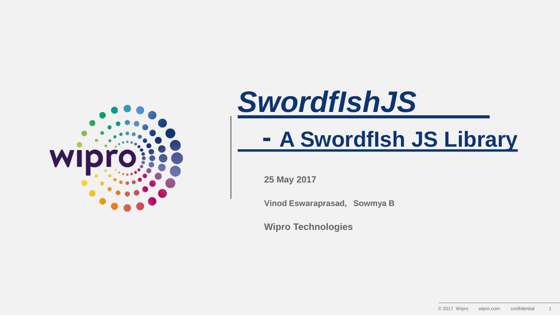

### *SwordfIshJS*

### **- A SwordfIsh JS Library**

**25 May 2017**

**Vinod Eswaraprasad, Sowmya B**

**Wipro Technologies**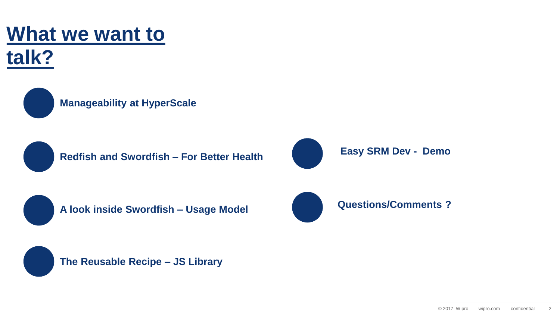### **What we want to**





**Manageability at HyperScale** 



**Redfish and Swordfish – For Better Health**





**A look inside Swordfish – Usage Model**





**The Reusable Recipe – JS Library**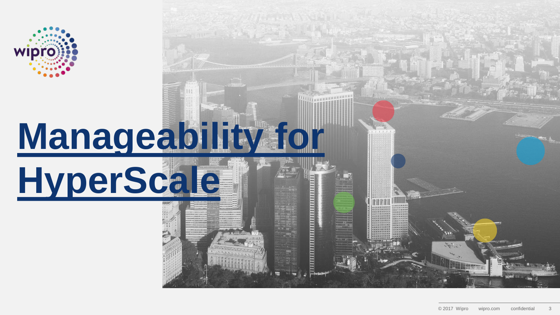

## **Manageability for**

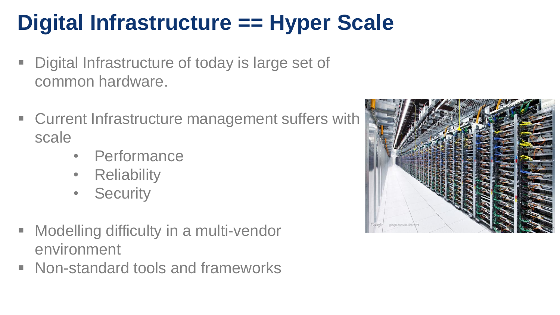### **Digital Infrastructure == Hyper Scale**

- Digital Infrastructure of today is large set of common hardware.
- Current Infrastructure management suffers with scale
	- Performance
	- **Reliability**
	- Security
- **E** Modelling difficulty in a multi-vendor environment
- Non-standard tools and frameworks

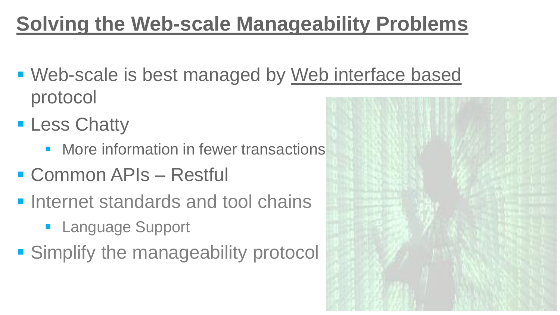### **Solving the Web-scale Manageability Problems**

- **. Web-scale is best managed by Web interface based** protocol
- **ELESS Chatty** 
	- More information in fewer transactions
- Common APIs Restful
- **Internet standards and tool chains** 
	- **E** Language Support
- **E** Simplify the manageability protocol

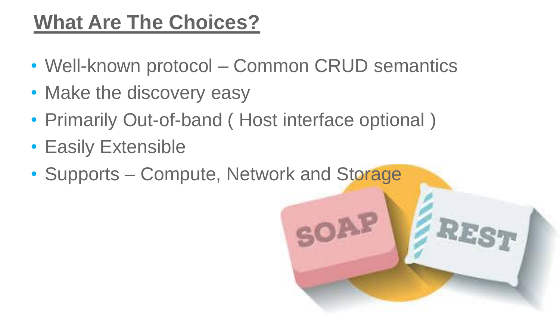### **What Are The Choices?**

- Well-known protocol Common CRUD semantics
- Make the discovery easy
- Primarily Out-of-band (Host interface optional)
- Easily Extensible
- Supports Compute, Network and Storage

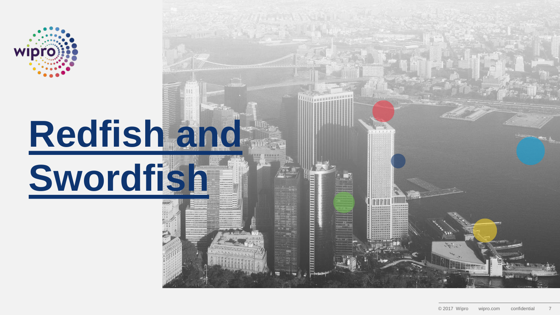

# **Redfish and**

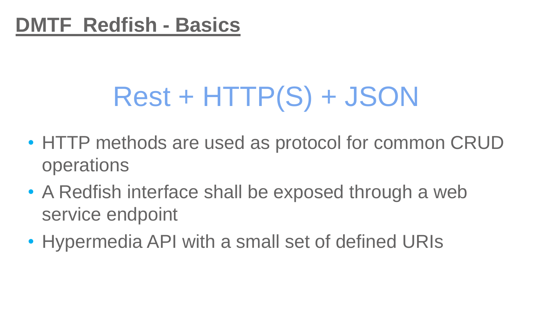## Rest + HTTP(S) + JSON

- HTTP methods are used as protocol for common CRUD operations
- A Redfish interface shall be exposed through a web service endpoint
- Hypermedia API with a small set of defined URIs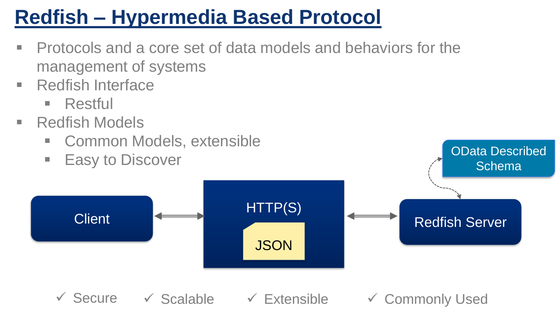### **Redfish – Hypermedia Based Protocol**

- Protocols and a core set of data models and behaviors for the management of systems
- Redfish Interface
	- $\blacksquare$  Restful
- Redfish Models
	- Common Models, extensible
	- **Easy to Discover**



OData Described

✓ Secure ✓ Scalable ✓ Extensible ✓ Commonly Used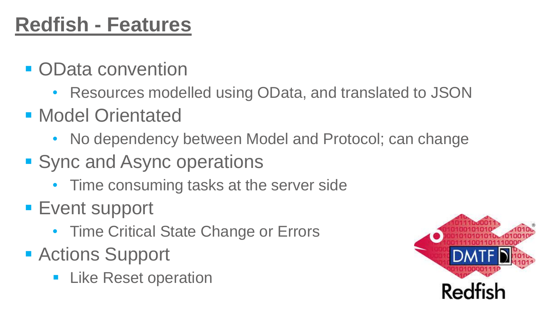### **Redfish - Features**

- OData convention
	- Resources modelled using OData, and translated to JSON
- **Model Orientated** 
	- No dependency between Model and Protocol; can change
- Sync and Async operations
	- Time consuming tasks at the server side
- Event support
	- Time Critical State Change or Errors
- Actions Support
	- **E.** Like Reset operation

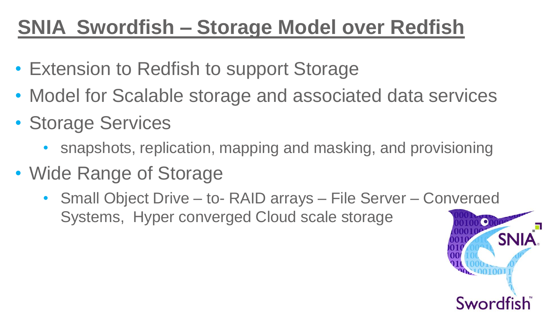### **SNIA Swordfish – Storage Model over Redfish**

- Extension to Redfish to support Storage
- Model for Scalable storage and associated data services
- Storage Services
	- snapshots, replication, mapping and masking, and provisioning
- Wide Range of Storage
	- Small Object Drive to- RAID arrays File Server Converged Systems, Hyper converged Cloud scale storage $\bullet$

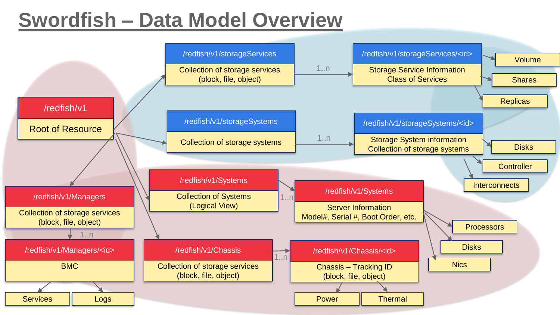### **Swordfish – Data Model Overview**

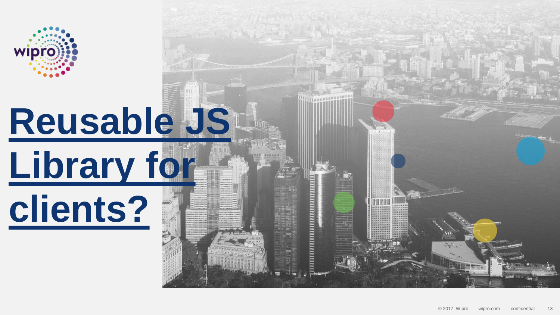

# **Reusable JS**



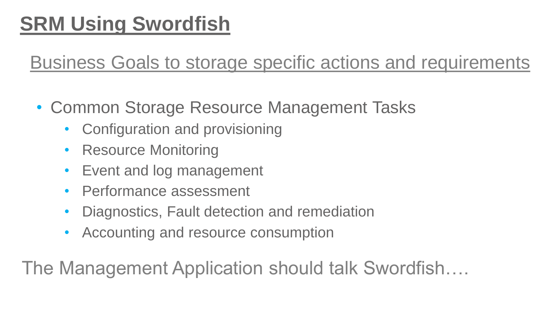### **SRM Using Swordfish**

Business Goals to storage specific actions and requirements

- Common Storage Resource Management Tasks
	- Configuration and provisioning
	- Resource Monitoring
	- Event and log management
	- Performance assessment
	- Diagnostics, Fault detection and remediation
	- Accounting and resource consumption

The Management Application should talk Swordfish….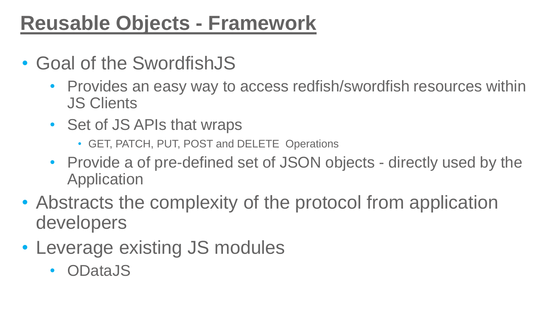### **Reusable Objects - Framework**

- Goal of the SwordfishJS
	- Provides an easy way to access redfish/swordfish resources within JS Clients
	- Set of JS APIs that wraps
		- GET, PATCH, PUT, POST and DELETE Operations
	- Provide a of pre-defined set of JSON objects directly used by the Application
- Abstracts the complexity of the protocol from application developers
- Leverage existing JS modules
	- ODataJS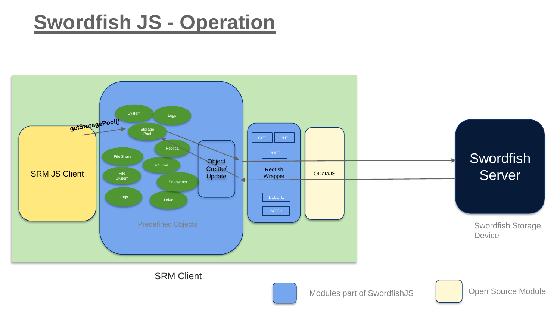#### **Swordfish JS - Operation**



Modules part of SwordfishJS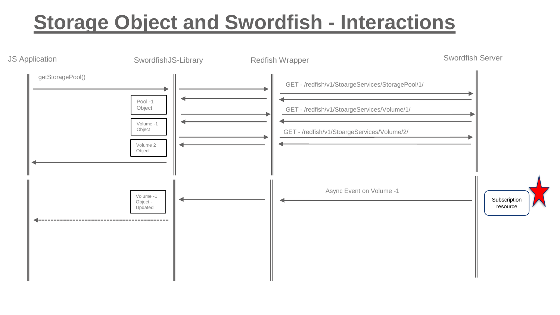### **Storage Object and Swordfish - Interactions**

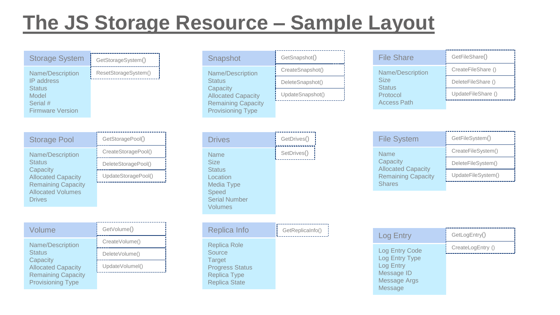### **The JS Storage Resource – Sample Layout**

| <b>Storage System</b>   | GetStorageSystem()   |
|-------------------------|----------------------|
| Name/Description        | ResetStorageSystem() |
| <b>IP</b> address       |                      |
| <b>Status</b>           |                      |
| Model                   |                      |
| Serial #                |                      |
| <b>Firmware Version</b> |                      |
|                         |                      |

| <b>Storage Pool</b>                                                        | GetStoragePool()    |
|----------------------------------------------------------------------------|---------------------|
| Name/Description<br><b>Status</b><br>Capacity<br><b>Allocated Capacity</b> | CreateStoragePool() |
|                                                                            | DeleteStoragePool() |
|                                                                            | UpdateStoragePool() |
| <b>Remaining Capacity</b><br><b>Allocated Volumes</b><br>Drives            |                     |

| Volume                                                                     | GetVolume()     |
|----------------------------------------------------------------------------|-----------------|
| Name/Description<br><b>Status</b><br>Capacity<br><b>Allocated Capacity</b> | CreateVolume()  |
|                                                                            | DeleteVolume()  |
|                                                                            | UpdateVolumel() |
| <b>Remaining Capacity</b><br><b>Provisioning Type</b>                      |                 |

| Snapshot                                                                                       | GetSnapshot()    |
|------------------------------------------------------------------------------------------------|------------------|
| Name/Description                                                                               | CreateSnapshot() |
| <b>Status</b>                                                                                  | DeleteSnapshot() |
| Capacity<br><b>Allocated Capacity</b><br><b>Remaining Capacity</b><br><b>Provisioning Type</b> | UpdateSnapshot() |

| <b>Drives</b>                                                                                                     | GetDrives() |
|-------------------------------------------------------------------------------------------------------------------|-------------|
| <b>Name</b><br><b>Size</b><br><b>Status</b><br>Location<br>Media Type<br>Speed<br><b>Serial Number</b><br>Volumes | SetDrives() |

| Replica Info                                                                                                     | GetReplicaInfo() |
|------------------------------------------------------------------------------------------------------------------|------------------|
| Replica Role<br>Source<br><b>Target</b><br><b>Progress Status</b><br><b>Replica Type</b><br><b>Replica State</b> |                  |

| <b>File Share</b>                                            | GetFileShare()     |
|--------------------------------------------------------------|--------------------|
| Name/Description<br><b>Size</b><br><b>Status</b><br>Protocol | CreateFileShare () |
|                                                              | DeleteFileShare () |
|                                                              | UpdateFileShare () |
| <b>Access Path</b>                                           |                    |

| GetDrives() | <b>File System</b>                                                 | GetFileSystem()    |
|-------------|--------------------------------------------------------------------|--------------------|
| SetDrives() | <b>Name</b>                                                        | CreateFileSystem() |
|             | Capacity<br><b>Allocated Capacity</b><br><b>Remaining Capacity</b> | DeleteFileSystem() |
|             |                                                                    | UpdateFileSystem() |
|             | <b>Shares</b>                                                      |                    |

| <b>Log Entry</b>                   | GetLogEntry()     |
|------------------------------------|-------------------|
| Log Entry Code                     | CreateLogEntry () |
| Log Entry Type<br><b>Log Entry</b> |                   |
| Message ID                         |                   |
| <b>Message Args</b>                |                   |
| Message                            |                   |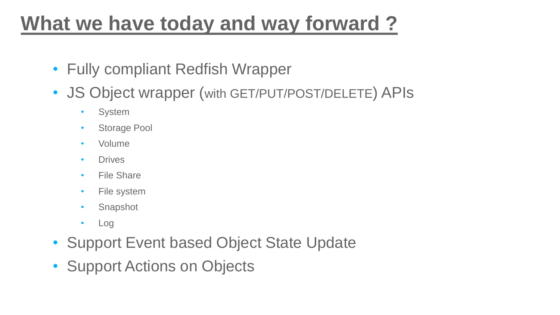### **What we have today and way forward ?**

- Fully compliant Redfish Wrapper
- JS Object wrapper (with GET/PUT/POST/DELETE) APIs
	- System
	- Storage Pool
	- Volume
	- Drives
	- File Share
	- File system
	- Snapshot
	- Log
- Support Event based Object State Update
- Support Actions on Objects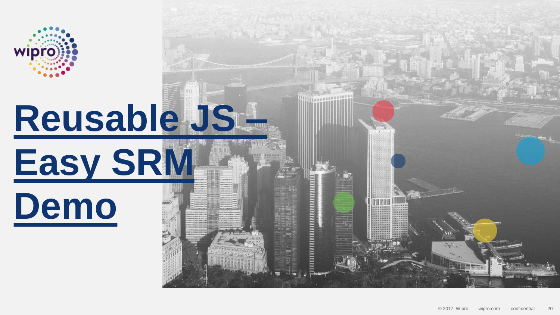

# **Reusable JS –**



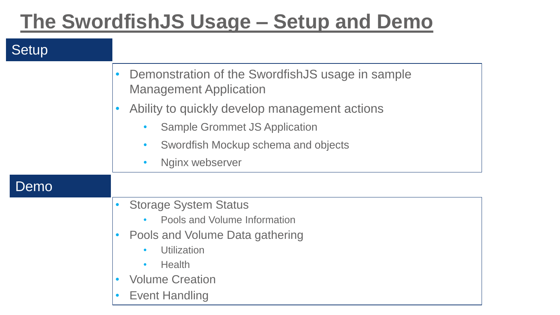### **The SwordfishJS Usage – Setup and Demo**

#### **Setup**

|      | Demonstration of the SwordfishJS usage in sample<br>$\bullet$<br><b>Management Application</b> |
|------|------------------------------------------------------------------------------------------------|
|      | Ability to quickly develop management actions<br>$\bullet$                                     |
|      | <b>Sample Grommet JS Application</b><br>$\bullet$                                              |
|      | Swordfish Mockup schema and objects<br>$\bullet$                                               |
|      | Nginx webserver<br>$\bullet$                                                                   |
| Demo |                                                                                                |
|      | <b>Storage System Status</b><br>$\bullet$                                                      |
|      | Pools and Volume Information                                                                   |
|      | Pools and Volume Data gathering                                                                |
|      | <b>Utilization</b>                                                                             |
|      | Health<br>$\bullet$                                                                            |
|      | <b>Volume Creation</b>                                                                         |
|      | <b>Event Handling</b>                                                                          |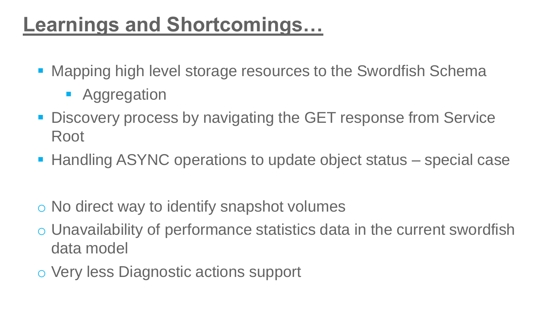### **Learnings and Shortcomings…**

- Mapping high level storage resources to the Swordfish Schema
	- Aggregation
- Discovery process by navigating the GET response from Service Root
- Handling ASYNC operations to update object status special case
- o No direct way to identify snapshot volumes
- o Unavailability of performance statistics data in the current swordfish data model
- o Very less Diagnostic actions support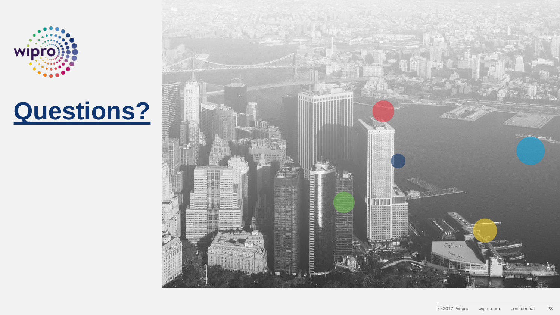

### **Questions?**